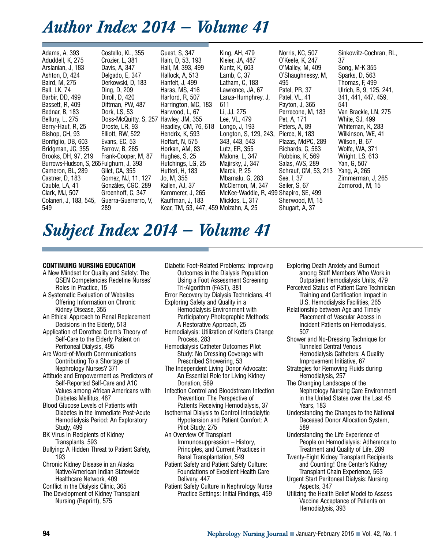# *Author Index 2014 — Volume 41*

| Adams, A, 393<br>Aduddell, K, 275<br>Arslanian, J, 183<br>Ashton, D, 424<br>Baird, M, 275<br><b>Ball, LK, 74</b><br>Barbir, DD, 499<br>Bassett, R, 409<br>Bednar, B, 183<br>Bellury, L, 275<br>Berry-Hauf, R, 25<br>Bishop, CH, 93<br>Bonfiglio, DB, 603<br>Bridgman, JC, 355<br>Brooks, DH, 97, 219<br>Burrows-Hudson, S, 265 Fulghum, J, 393<br>Cameron, BL, 289<br>Castner, D, 183<br>Cauble, LA, 41<br>Clark, MJ, 507<br>Colaneri, J. 183, 545, | Costello, KL, 355<br>Crozier, L, 381<br>Davis, A, 347<br>Delgado, E, 347<br>Derkowski, D, 183<br>Ding, D, 209<br>Diroll, D, 420<br>Dittman, PW, 487<br>Dork, LS, 53<br>Doss-McQuitty, S, 257<br>Droste, LR, 93<br>Elliott, RW, 522<br>Evans, EC, 53<br>Farrow, B, 265<br>Frank-Cooper, M, 87<br>Gilet, CA, 355<br>Gomez, NJ, 11, 127<br>Gonzáles, CGC, 289<br>Groenhoff, C, 347<br>Guerra-Guerrerro, V. | Guest, S, 347<br>Hain, D, 53, 193<br>Hall, M, 393, 499<br>Hallock, A, 513<br>Hanfelt, J, 499<br>Haras, MS, 416<br>Harford, R, 507<br>Harrington, MC, 183<br>Harwood, L, 67<br>Hawley, JM, 355<br>Headley, CM, 76, 618<br>Hendrix, K, 593<br>Hoffart, N, 575<br>Horkan, AM, 83<br>Hughes, S. 25<br>Hutchings, LG, 25<br>Hutteri, H, 183<br>Jo, M, 355<br>Kallen, AJ, 37<br>Kammerer, J, 265<br>Kauffman, J. 183 | King, AH, 479<br>Kleier, JA, 487<br>Kuntz, K, 603<br>Lamb, C, 37<br>Latham, C, 183<br>Lawrence, JA, 67<br>Lanza-Humphrey, J.<br>611<br>Li, JJ, 275<br>Lee, VL, 479<br>Longo, J, 193<br>Longton, S, 129, 243,<br>343, 443, 543<br>Lutz, ER, 355<br>Malone, L, 347<br>Majirsky, J, 347<br>Marck, P, 25<br>Mbamalu, G. 283<br>McClernon, M, 347<br>McKee-Waddle, R, 499 Shapiro, SE, 499<br>Micklos, L, 317 | Norris, KC, 507<br>0'Keefe, K, 247<br>O'Malley, M, 409<br>O'Shaughnessy, M,<br>495<br>Patel, PR, 37<br>Patel, VL, 41<br>Payton, J, 365<br>Perrecone, M, 183<br>Pet, A, 171<br>Peters, A, 89<br>Pierce, N, 183<br>Plazas, MdPC, 289<br>Richards, C, 563<br>Robbins, K, 569<br>Salas, AVS, 289<br>Schrauf, CM, 53, 213<br>See, I, 37<br>Seiler, S. 67<br>Sherwood, M, 15 | Sinkowitz-Cochran, RL,<br>37<br>Song, M-K 355<br>Sparks, D, 563<br>Thomas, F, 499<br>Ulrich, B, 9, 125, 241,<br>341, 441, 447, 459,<br>541<br>Van Brackle, LN, 275<br>White, SJ, 499<br>Whiteman, K, 283<br>Wilkinson, WE, 41<br>Wilson, B, 67<br>Wolfe, WA, 371<br>Wright, LS, 613<br>Yan, G, 507<br>Yang, A, 265<br>Zimmerman, J. 265<br>Zomorodi, M, 15 |
|-----------------------------------------------------------------------------------------------------------------------------------------------------------------------------------------------------------------------------------------------------------------------------------------------------------------------------------------------------------------------------------------------------------------------------------------------------|---------------------------------------------------------------------------------------------------------------------------------------------------------------------------------------------------------------------------------------------------------------------------------------------------------------------------------------------------------------------------------------------------------|----------------------------------------------------------------------------------------------------------------------------------------------------------------------------------------------------------------------------------------------------------------------------------------------------------------------------------------------------------------------------------------------------------------|----------------------------------------------------------------------------------------------------------------------------------------------------------------------------------------------------------------------------------------------------------------------------------------------------------------------------------------------------------------------------------------------------------|------------------------------------------------------------------------------------------------------------------------------------------------------------------------------------------------------------------------------------------------------------------------------------------------------------------------------------------------------------------------|------------------------------------------------------------------------------------------------------------------------------------------------------------------------------------------------------------------------------------------------------------------------------------------------------------------------------------------------------------|
| 549                                                                                                                                                                                                                                                                                                                                                                                                                                                 | 289                                                                                                                                                                                                                                                                                                                                                                                                     | Kear, TM, 53, 447, 459 Molzahn, A, 25                                                                                                                                                                                                                                                                                                                                                                          |                                                                                                                                                                                                                                                                                                                                                                                                          | Shugart, A, 37                                                                                                                                                                                                                                                                                                                                                         |                                                                                                                                                                                                                                                                                                                                                            |

# *Subject Index 2014 — Volume 41*

### **CONTINUING NURSING EDUCATION**

- A New Mindset for Quality and Safety: The QSEN Competencies Redefine Nurses' Roles in Practice, 15
- A Systematic Evaluation of Websites Offering Information on Chronic Kidney Disease, 355
- An Ethical Approach to Renal Replacement Decisions in the Elderly, 513
- Application of Dorothea Orem's Theory of Self-Care to the Elderly Patient on Peritoneal Dialysis, 495
- Are Word-of-Mouth Communications Contributing To a Shortage of Nephrology Nurses? 371
- Attitude and Empowerment as Predictors of Self-Reported Self-Care and A1C Values among African Americans with Diabetes Mellitus, 487
- Blood Glucose Levels of Patients with Diabetes in the Immediate Post-Acute Hemodialysis Period: An Exploratory Study, 499
- BK Virus in Recipients of Kidney Transplants, 593
- Bullying: A Hidden Threat to Patient Safety, 193
- Chronic Kidney Disease in an Alaska Native/American Indian Statewide Healthcare Network, 409
- Conflict in the Dialysis Clinic, 365
- The Development of Kidney Transplant Nursing (Reprint), 575
- Diabetic Foot-Related Problems: Improving Outcomes in the Dialysis Population Using a Foot Assessment Screening Tri-Algorithm (FAST), 381 Error Recovery by Dialysis Technicians, 41
- Exploring Safety and Quality in a Hemodialysis Environment with Participatory Photographic Methods: A Restorative Approach, 25
- Hemodialysis: Utilization of Kotter's Change Process, 283
- Hemodialysis Catheter Outcomes Pilot Study: No Dressing Coverage with Prescribed Showering, 53
- The Independent Living Donor Advocate: An Essential Role for Living Kidney Donation, 569
- Infection Control and Bloodstream Infection Prevention: The Perspective of Patients Receiving Hemodialysis, 37
- Isothermal Dialysis to Control Intradialytic Hypotension and Patient Comfort: A Pilot Study, 275
- An Overview Of Transplant Immunosuppression – History, Principles, and Current Practices in Renal Transplantation, 549
- Patient Safety and Patient Safety Culture: Foundations of Excellent Health Care Delivery, 447
- Patient Safety Culture in Nephrology Nurse Practice Settings: Initial Findings, 459
- Exploring Death Anxiety and Burnout among Staff Members Who Work in Outpatient Hemodialysis Units, 479
- Perceived Status of Patient Care Technician Training and Certification Impact in U.S. Hemodialysis Facilities, 265
- Relationship between Age and Timely Placement of Vascular Access in Incident Patients on Hemodialysis, 507
- Shower and No-Dressing Technique for Tunneled Central Venous Hemodialysis Catheters: A Quality Improvement Initiative, 67
- Strategies for Removing Fluids during Hemodialysis, 257
- The Changing Landscape of the Nephrology Nursing Care Environment in the United States over the Last 45 Years, 183
- Understanding the Changes to the National Deceased Donor Allocation System, 589
- Understanding the Life Experience of People on Hemodialysis: Adherence to Treatment and Quality of Life, 289
- Twenty-Eight Kidney Transplant Recipients and Counting! One Center's Kidney Transplant Chain Experience, 563 Urgent Start Peritoneal Dialysis: Nursing
- Aspects, 347
- Utilizing the Health Belief Model to Assess Vaccine Acceptance of Patients on Hemodialysis, 393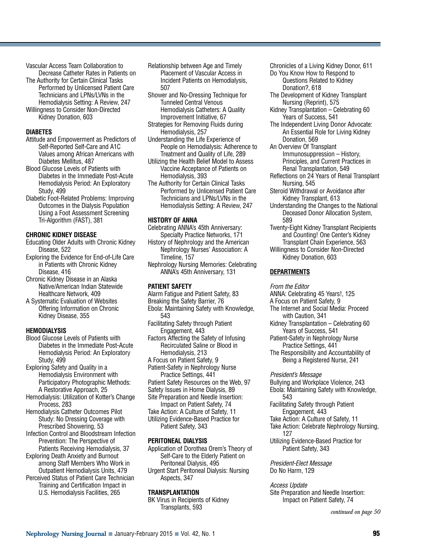Vascular Access Team Collaboration to Decrease Catheter Rates in Patients on

The Authority for Certain Clinical Tasks Performed by Unlicensed Patient Care Technicians and LPNs/LVNs in the Hemodialysis Setting: A Review, 247

Willingness to Consider Non-Directed Kidney Donation, 603

#### **DIABETES**

Attitude and Empowerment as Predictors of Self-Reported Self-Care and A1C Values among African Americans with Diabetes Mellitus, 487

Blood Glucose Levels of Patients with Diabetes in the Immediate Post-Acute Hemodialysis Period: An Exploratory Study, 499

Diabetic Foot-Related Problems: Improving Outcomes in the Dialysis Population Using a Foot Assessment Screening Tri-Algorithm (FAST), 381

# **CHRONIC KIDNEY DISEASE**

- Educating Older Adults with Chronic Kidney Disease, 522
- Exploring the Evidence for End-of-Life Care in Patients with Chronic Kidney Disease, 416
- Chronic Kidney Disease in an Alaska Native/American Indian Statewide Healthcare Network, 409
- A Systematic Evaluation of Websites Offering Information on Chronic Kidney Disease, 355

# **HEMODIALYSIS**

Blood Glucose Levels of Patients with Diabetes in the Immediate Post-Acute Hemodialysis Period: An Exploratory Study, 499

Exploring Safety and Quality in a Hemodialysis Environment with Participatory Photographic Methods: A Restorative Approach, 25

Hemodialysis: Utilization of Kotter's Change Process, 283

Hemodialysis Catheter Outcomes Pilot Study: No Dressing Coverage with Prescribed Showering, 53

Infection Control and Bloodstream Infection Prevention: The Perspective of Patients Receiving Hemodialysis, 37

Exploring Death Anxiety and Burnout among Staff Members Who Work in

- Outpatient Hemodialysis Units, 479 Perceived Status of Patient Care Technician Training and Certification Impact in
	- U.S. Hemodialysis Facilities, 265

Relationship between Age and Timely Placement of Vascular Access in Incident Patients on Hemodialysis, 507

Shower and No-Dressing Technique for Tunneled Central Venous Hemodialysis Catheters: A Quality Improvement Initiative, 67

- Strategies for Removing Fluids during Hemodialysis, 257
- Understanding the Life Experience of People on Hemodialysis: Adherence to Treatment and Quality of Life, 289

Utilizing the Health Belief Model to Assess Vaccine Acceptance of Patients on Hemodialysis, 393

The Authority for Certain Clinical Tasks Performed by Unlicensed Patient Care Technicians and LPNs/LVNs in the Hemodialysis Setting: A Review, 247

# **HISTORY OF ANNA**

Celebrating ANNA's 45th Anniversary: Specialty Practice Networks, 171 History of Nephrology and the American Nephrology Nurses' Association: A Timeline, 157

Nephrology Nursing Memories: Celebrating ANNA's 45th Anniversary, 131

# **PATIENT SAFETY**

Alarm Fatigue and Patient Safety, 83 Breaking the Safety Barrier, 76 Ebola: Maintaining Safety with Knowledge, 543 Facilitating Safety through Patient Engagement, 443 Factors Affecting the Safety of Infusing Recirculated Saline or Blood in Hemodialysis, 213 A Focus on Patient Safety, 9 Patient-Safety in Nephrology Nurse Practice Settings, 441 Patient Safety Resources on the Web, 97 Safety Issues in Home Dialysis, 89 Site Preparation and Needle Insertion: Impact on Patient Safety, 74 Take Action: A Culture of Safety, 11 Utilizing Evidence-Based Practice for Patient Safety, 343

# **PERITONEAL DIALYSIS**

Application of Dorothea Orem's Theory of Self-Care to the Elderly Patient on Peritoneal Dialysis, 495 Urgent Start Peritoneal Dialysis: Nursing Aspects, 347

**TRANSPLANTATION**

BK Virus in Recipients of Kidney Transplants, 593

Chronicles of a Living Kidney Donor, 611 Do You Know How to Respond to Questions Related to Kidney Donation?, 618

- The Development of Kidney Transplant Nursing (Reprint), 575
- Kidney Transplantation Celebrating 60 Years of Success, 541
- The Independent Living Donor Advocate: An Essential Role for Living Kidney Donation, 569
- An Overview Of Transplant Immunosuppression – History, Principles, and Current Practices in Renal Transplantation, 549
- Reflections on 24 Years of Renal Transplant Nursing, 545
- Steroid Withdrawal or Avoidance after Kidney Transplant, 613
- Understanding the Changes to the National Deceased Donor Allocation System, 589
- Twenty-Eight Kidney Transplant Recipients and Counting! One Center's Kidney Transplant Chain Experience, 563 Willingness to Consider Non-Directed

Kidney Donation, 603

# **DEPARTMENTS**

From the Editor

ANNA: Celebrating 45 Years!, 125

- A Focus on Patient Safety, 9
- The Internet and Social Media: Proceed with Caution, 341
- Kidney Transplantation Celebrating 60 Years of Success, 541
- Patient-Safety in Nephrology Nurse Practice Settings, 441
- The Responsibility and Accountability of Being a Registered Nurse, 241

President's Message

Bullying and Workplace Violence, 243 Ebola: Maintaining Safety with Knowledge, 543 Facilitating Safety through Patient

- Engagement, 443 Take Action: A Culture of Safety, 11
- Take Action: Celebrate Nephrology Nursing,
	- 127

Utilizing Evidence-Based Practice for Patient Safety, 343

President-Elect Message Do No Harm, 129

# Access Update

Site Preparation and Needle Insertion: Impact on Patient Safety, 74

*continued on page 50*